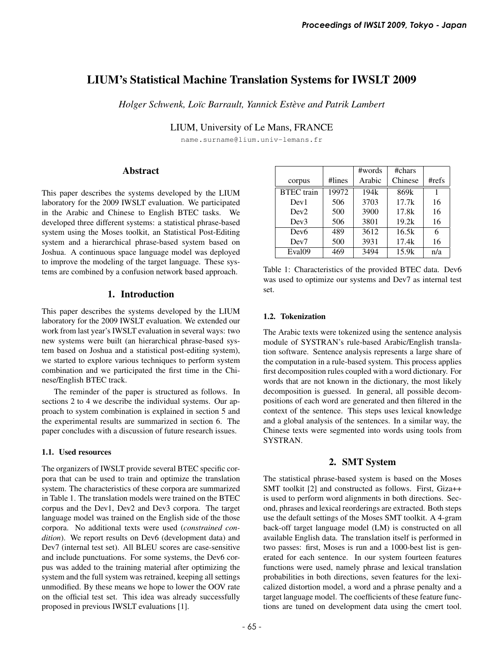# LIUM's Statistical Machine Translation Systems for IWSLT 2009

*Holger Schwenk, Lo¨ıc Barrault, Yannick Esteve and Patrik Lambert `*

LIUM, University of Le Mans, FRANCE

name.surname@lium.univ-lemans.fr

### Abstract

This paper describes the systems developed by the LIUM laboratory for the 2009 IWSLT evaluation. We participated in the Arabic and Chinese to English BTEC tasks. We developed three different systems: a statistical phrase-based system using the Moses toolkit, an Statistical Post-Editing system and a hierarchical phrase-based system based on Joshua. A continuous space language model was deployed to improve the modeling of the target language. These systems are combined by a confusion network based approach.

### 1. Introduction

This paper describes the systems developed by the LIUM laboratory for the 2009 IWSLT evaluation. We extended our work from last year's IWSLT evaluation in several ways: two new systems were built (an hierarchical phrase-based system based on Joshua and a statistical post-editing system), we started to explore various techniques to perform system combination and we participated the first time in the Chinese/English BTEC track.

The reminder of the paper is structured as follows. In sections 2 to 4 we describe the individual systems. Our approach to system combination is explained in section 5 and the experimental results are summarized in section 6. The paper concludes with a discussion of future research issues.

#### 1.1. Used resources

The organizers of IWSLT provide several BTEC specific corpora that can be used to train and optimize the translation system. The characteristics of these corpora are summarized in Table 1. The translation models were trained on the BTEC corpus and the Dev1, Dev2 and Dev3 corpora. The target language model was trained on the English side of the those corpora. No additional texts were used (*constrained condition*). We report results on Dev6 (development data) and Dev7 (internal test set). All BLEU scores are case-sensitive and include punctuations. For some systems, the Dev6 corpus was added to the training material after optimizing the system and the full system was retrained, keeping all settings unmodified. By these means we hope to lower the OOV rate on the official test set. This idea was already successfully proposed in previous IWSLT evaluations [1].

|                    |        | #words            | #chars  |          |
|--------------------|--------|-------------------|---------|----------|
| corpus             | #lines | Arabic            | Chinese | $\#refs$ |
| <b>BTEC</b> train  | 19972  | 194k              | 869k    |          |
| Dev1               | 506    | 3703              | 17.7k   | 16       |
| Dev2               | 500    | 3900              | 17.8k   | 16       |
| Dev3               | 506    | 3801              | 19.2k   | 16       |
| Dev <sub>6</sub>   | 489    | $36\overline{12}$ | 16.5k   | 6        |
| Dev <sub>7</sub>   | 500    | 3931              | 17.4k   | 16       |
| Eval <sub>09</sub> | 469    | 3494              | 15.9k   | n/a      |

Table 1: Characteristics of the provided BTEC data. Dev6 was used to optimize our systems and Dev7 as internal test set.

#### 1.2. Tokenization

The Arabic texts were tokenized using the sentence analysis module of SYSTRAN's rule-based Arabic/English translation software. Sentence analysis represents a large share of the computation in a rule-based system. This process applies first decomposition rules coupled with a word dictionary. For words that are not known in the dictionary, the most likely decomposition is guessed. In general, all possible decompositions of each word are generated and then filtered in the context of the sentence. This steps uses lexical knowledge and a global analysis of the sentences. In a similar way, the Chinese texts were segmented into words using tools from SYSTRAN.

### 2. SMT System

The statistical phrase-based system is based on the Moses SMT toolkit [2] and constructed as follows. First, Giza++ is used to perform word alignments in both directions. Second, phrases and lexical reorderings are extracted. Both steps use the default settings of the Moses SMT toolkit. A 4-gram back-off target language model (LM) is constructed on all available English data. The translation itself is performed in two passes: first, Moses is run and a 1000-best list is generated for each sentence. In our system fourteen features functions were used, namely phrase and lexical translation probabilities in both directions, seven features for the lexicalized distortion model, a word and a phrase penalty and a target language model. The coefficients of these feature functions are tuned on development data using the cmert tool.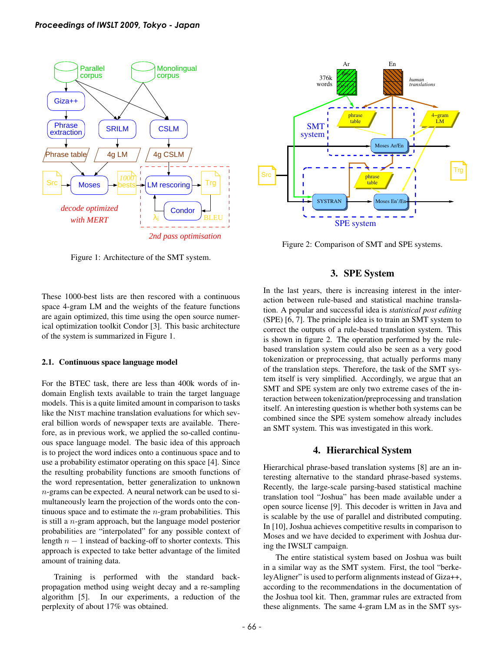

Figure 1: Architecture of the SMT system.

These 1000-best lists are then rescored with a continuous space 4-gram LM and the weights of the feature functions are again optimized, this time using the open source numerical optimization toolkit Condor [3]. This basic architecture of the system is summarized in Figure 1.

#### 2.1. Continuous space language model

For the BTEC task, there are less than 400k words of indomain English texts available to train the target language models. This is a quite limited amount in comparison to tasks like the NIST machine translation evaluations for which several billion words of newspaper texts are available. Therefore, as in previous work, we applied the so-called continuous space language model. The basic idea of this approach is to project the word indices onto a continuous space and to use a probability estimator operating on this space [4]. Since the resulting probability functions are smooth functions of the word representation, better generalization to unknown n-grams can be expected. A neural network can be used to simultaneously learn the projection of the words onto the continuous space and to estimate the  $n$ -gram probabilities. This is still a n-gram approach, but the language model posterior probabilities are "interpolated" for any possible context of length  $n - 1$  instead of backing-off to shorter contexts. This approach is expected to take better advantage of the limited amount of training data.

Training is performed with the standard backpropagation method using weight decay and a re-sampling algorithm [5]. In our experiments, a reduction of the perplexity of about 17% was obtained.



Figure 2: Comparison of SMT and SPE systems.

### 3. SPE System

In the last years, there is increasing interest in the interaction between rule-based and statistical machine translation. A popular and successful idea is *statistical post editing* (SPE) [6, 7]. The principle idea is to train an SMT system to correct the outputs of a rule-based translation system. This is shown in figure 2. The operation performed by the rulebased translation system could also be seen as a very good tokenization or preprocessing, that actually performs many of the translation steps. Therefore, the task of the SMT system itself is very simplified. Accordingly, we argue that an SMT and SPE system are only two extreme cases of the interaction between tokenization/preprocessing and translation itself. An interesting question is whether both systems can be combined since the SPE system somehow already includes an SMT system. This was investigated in this work.

### 4. Hierarchical System

Hierarchical phrase-based translation systems [8] are an interesting alternative to the standard phrase-based systems. Recently, the large-scale parsing-based statistical machine translation tool "Joshua" has been made available under a open source license [9]. This decoder is written in Java and is scalable by the use of parallel and distributed computing. In [10], Joshua achieves competitive results in comparison to Moses and we have decided to experiment with Joshua during the IWSLT campaign.

The entire statistical system based on Joshua was built in a similar way as the SMT system. First, the tool "berkeleyAligner" is used to perform alignments instead of Giza++, according to the recommendations in the documentation of the Joshua tool kit. Then, grammar rules are extracted from these alignments. The same 4-gram LM as in the SMT sys-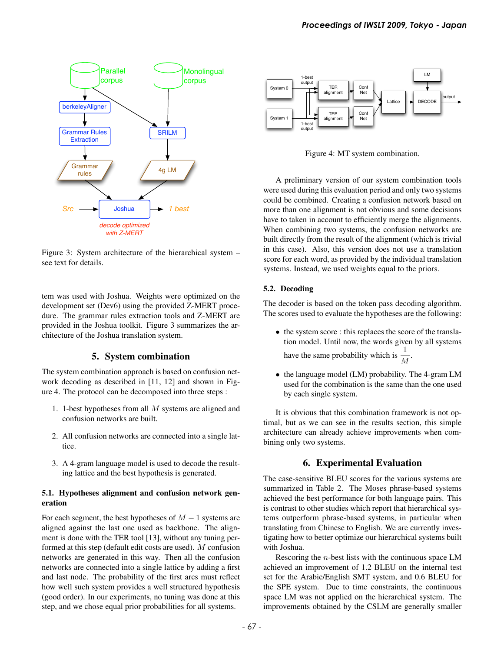

Figure 3: System architecture of the hierarchical system – see text for details.

tem was used with Joshua. Weights were optimized on the development set (Dev6) using the provided Z-MERT procedure. The grammar rules extraction tools and Z-MERT are provided in the Joshua toolkit. Figure 3 summarizes the architecture of the Joshua translation system.

### 5. System combination

The system combination approach is based on confusion network decoding as described in [11, 12] and shown in Figure 4. The protocol can be decomposed into three steps :

- 1. 1-best hypotheses from all M systems are aligned and confusion networks are built.
- 2. All confusion networks are connected into a single lattice.
- 3. A 4-gram language model is used to decode the resulting lattice and the best hypothesis is generated.

#### 5.1. Hypotheses alignment and confusion network generation

For each segment, the best hypotheses of  $M - 1$  systems are aligned against the last one used as backbone. The alignment is done with the TER tool [13], without any tuning performed at this step (default edit costs are used). M confusion networks are generated in this way. Then all the confusion networks are connected into a single lattice by adding a first and last node. The probability of the first arcs must reflect how well such system provides a well structured hypothesis (good order). In our experiments, no tuning was done at this step, and we chose equal prior probabilities for all systems.



Figure 4: MT system combination.

A preliminary version of our system combination tools were used during this evaluation period and only two systems could be combined. Creating a confusion network based on more than one alignment is not obvious and some decisions have to taken in account to efficiently merge the alignments. When combining two systems, the confusion networks are built directly from the result of the alignment (which is trivial in this case). Also, this version does not use a translation score for each word, as provided by the individual translation systems. Instead, we used weights equal to the priors.

### 5.2. Decoding

The decoder is based on the token pass decoding algorithm. The scores used to evaluate the hypotheses are the following:

- the system score : this replaces the score of the translation model. Until now, the words given by all systems have the same probability which is  $\frac{1}{M}$ .
- the language model (LM) probability. The 4-gram LM used for the combination is the same than the one used by each single system.

It is obvious that this combination framework is not optimal, but as we can see in the results section, this simple architecture can already achieve improvements when combining only two systems.

## 6. Experimental Evaluation

The case-sensitive BLEU scores for the various systems are summarized in Table 2. The Moses phrase-based systems achieved the best performance for both language pairs. This is contrast to other studies which report that hierarchical systems outperform phrase-based systems, in particular when translating from Chinese to English. We are currently investigating how to better optimize our hierarchical systems built with Joshua.

Rescoring the n-best lists with the continuous space LM achieved an improvement of 1.2 BLEU on the internal test set for the Arabic/English SMT system, and 0.6 BLEU for the SPE system. Due to time constraints, the continuous space LM was not applied on the hierarchical system. The improvements obtained by the CSLM are generally smaller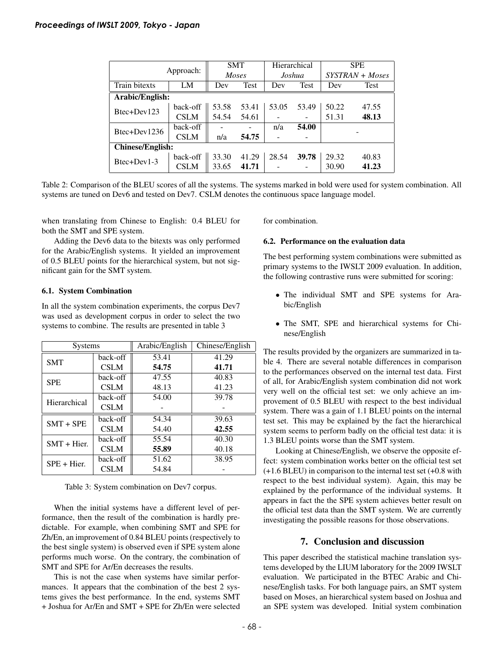| Approach:               |             | <b>SMT</b>   |       | Hierarchical |       | <b>SPE</b>      |       |  |
|-------------------------|-------------|--------------|-------|--------------|-------|-----------------|-------|--|
|                         |             | <b>Moses</b> |       | Joshua       |       | SYSTRAN + Moses |       |  |
| Train bitexts           | LM          | Dev          | Test  | Dev          | Test  | Dev             | Test  |  |
| Arabic/English:         |             |              |       |              |       |                 |       |  |
| Btec+Dev123             | back-off    | 53.58        | 53.41 | 53.05        | 53.49 | 50.22           | 47.55 |  |
|                         | <b>CSLM</b> | 54.54        | 54.61 |              |       | 51.31           | 48.13 |  |
| Btec+Dev1236            | back-off    |              |       | n/a          | 54.00 |                 |       |  |
|                         | <b>CSLM</b> | n/a          | 54.75 |              |       |                 |       |  |
| <b>Chinese/English:</b> |             |              |       |              |       |                 |       |  |
| Btec+Dev1-3             | back-off    | 33.30        | 41.29 | 28.54        | 39.78 | 29.32           | 40.83 |  |
|                         | <b>CSLM</b> | 33.65        | 41.71 |              |       | 30.90           | 41.23 |  |

Table 2: Comparison of the BLEU scores of all the systems. The systems marked in bold were used for system combination. All systems are tuned on Dev6 and tested on Dev7. CSLM denotes the continuous space language model.

when translating from Chinese to English: 0.4 BLEU for both the SMT and SPE system.

Adding the Dev6 data to the bitexts was only performed for the Arabic/English systems. It yielded an improvement of 0.5 BLEU points for the hierarchical system, but not significant gain for the SMT system.

#### 6.1. System Combination

In all the system combination experiments, the corpus Dev7 was used as development corpus in order to select the two systems to combine. The results are presented in table 3

| <b>Systems</b> |             | Arabic/English | Chinese/English |  |  |
|----------------|-------------|----------------|-----------------|--|--|
| <b>SMT</b>     | back-off    | 53.41          | 41.29           |  |  |
|                | <b>CSLM</b> | 54.75          | 41.71           |  |  |
| <b>SPE</b>     | back-off    | 47.55          | 40.83           |  |  |
|                | <b>CSLM</b> | 48.13          | 41.23           |  |  |
| Hierarchical   | back-off    | 54.00          | 39.78           |  |  |
|                | <b>CSLM</b> |                |                 |  |  |
| $SMT + SPE$    | back-off    | 54.34          | 39.63           |  |  |
|                | <b>CSLM</b> | 54.40          | 42.55           |  |  |
| $SMT + Hier$ . | back-off    | 55.54          | 40.30           |  |  |
|                | <b>CSLM</b> | 55.89          | 40.18           |  |  |
| $SPE + Hier.$  | back-off    | 51.62          | 38.95           |  |  |
|                | <b>CSLM</b> | 54.84          |                 |  |  |

Table 3: System combination on Dev7 corpus.

When the initial systems have a different level of performance, then the result of the combination is hardly predictable. For example, when combining SMT and SPE for Zh/En, an improvement of 0.84 BLEU points (respectively to the best single system) is observed even if SPE system alone performs much worse. On the contrary, the combination of SMT and SPE for Ar/En decreases the results.

This is not the case when systems have similar performances. It appears that the combination of the best 2 systems gives the best performance. In the end, systems SMT + Joshua for Ar/En and SMT + SPE for Zh/En were selected for combination.

#### 6.2. Performance on the evaluation data

The best performing system combinations were submitted as primary systems to the IWSLT 2009 evaluation. In addition, the following contrastive runs were submitted for scoring:

- The individual SMT and SPE systems for Arabic/English
- The SMT, SPE and hierarchical systems for Chinese/English

The results provided by the organizers are summarized in table 4. There are several notable differences in comparison to the performances observed on the internal test data. First of all, for Arabic/English system combination did not work very well on the official test set: we only achieve an improvement of 0.5 BLEU with respect to the best individual system. There was a gain of 1.1 BLEU points on the internal test set. This may be explained by the fact the hierarchical system seems to perform badly on the official test data: it is 1.3 BLEU points worse than the SMT system.

Looking at Chinese/English, we observe the opposite effect: system combination works better on the official test set (+1.6 BLEU) in comparison to the internal test set (+0.8 with respect to the best individual system). Again, this may be explained by the performance of the individual systems. It appears in fact the the SPE system achieves better result on the official test data than the SMT system. We are currently investigating the possible reasons for those observations.

### 7. Conclusion and discussion

This paper described the statistical machine translation systems developed by the LIUM laboratory for the 2009 IWSLT evaluation. We participated in the BTEC Arabic and Chinese/English tasks. For both language pairs, an SMT system based on Moses, an hierarchical system based on Joshua and an SPE system was developed. Initial system combination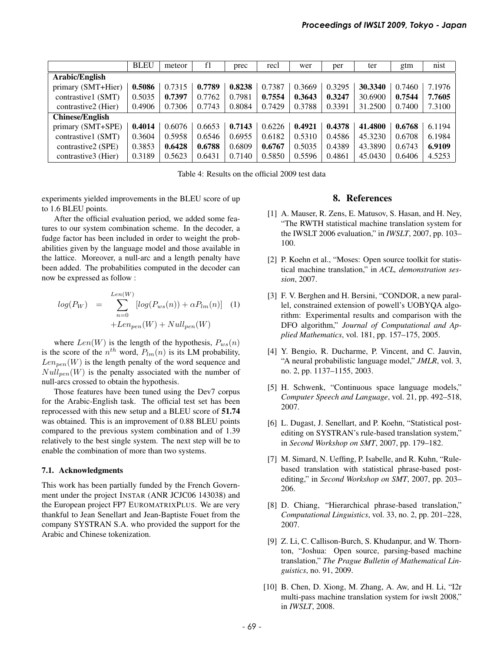|                        | <b>BLEU</b> | meteor | f1     | prec   | recl   | wer    | per    | ter     | gtm    | nist   |
|------------------------|-------------|--------|--------|--------|--------|--------|--------|---------|--------|--------|
| Arabic/English         |             |        |        |        |        |        |        |         |        |        |
| primary (SMT+Hier)     | 0.5086      | 0.7315 | 0.7789 | 0.8238 | 0.7387 | 0.3669 | 0.3295 | 30.3340 | 0.7460 | 7.1976 |
| contrastive1 (SMT)     | 0.5035      | 0.7397 | 0.7762 | 0.7981 | 0.7554 | 0.3643 | 0.3247 | 30.6900 | 0.7544 | 7.7605 |
| contrastive2 (Hier)    | 0.4906      | 0.7306 | 0.7743 | 0.8084 | 0.7429 | 0.3788 | 0.3391 | 31.2500 | 0.7400 | 7.3100 |
| <b>Chinese/English</b> |             |        |        |        |        |        |        |         |        |        |
| primary (SMT+SPE)      | 0.4014      | 0.6076 | 0.6653 | 0.7143 | 0.6226 | 0.4921 | 0.4378 | 41.4800 | 0.6768 | 6.1194 |
| contrastive1 (SMT)     | 0.3604      | 0.5958 | 0.6546 | 0.6955 | 0.6182 | 0.5310 | 0.4586 | 45.3230 | 0.6708 | 6.1984 |
| contrastive2 (SPE)     | 0.3853      | 0.6428 | 0.6788 | 0.6809 | 0.6767 | 0.5035 | 0.4389 | 43.3890 | 0.6743 | 6.9109 |
| contrastive3 (Hier)    | 0.3189      | 0.5623 | 0.6431 | 0.7140 | 0.5850 | 0.5596 | 0.4861 | 45.0430 | 0.6406 | 4.5253 |

Table 4: Results on the official 2009 test data

experiments yielded improvements in the BLEU score of up to 1.6 BLEU points.

After the official evaluation period, we added some features to our system combination scheme. In the decoder, a fudge factor has been included in order to weight the probabilities given by the language model and those available in the lattice. Moreover, a null-arc and a length penalty have been added. The probabilities computed in the decoder can now be expressed as follow :

$$
log(P_W) = \sum_{n=0}^{Len(W)} [log(P_{ws}(n)) + \alpha P_{lm}(n)] \quad (1)
$$

$$
+ Len_{pen}(W) + Null_{pen}(W)
$$

where  $Len(W)$  is the length of the hypothesis,  $P_{ws}(n)$ is the score of the  $n^{th}$  word,  $P_{lm}(n)$  is its LM probability,  $Len_{pen}(W)$  is the length penalty of the word sequence and  $Null_{pen}(W)$  is the penalty associated with the number of null-arcs crossed to obtain the hypothesis.

Those features have been tuned using the Dev7 corpus for the Arabic-English task. The official test set has been reprocessed with this new setup and a BLEU score of 51.74 was obtained. This is an improvement of 0.88 BLEU points compared to the previous system combination and of 1.39 relatively to the best single system. The next step will be to enable the combination of more than two systems.

#### 7.1. Acknowledgments

This work has been partially funded by the French Government under the project INSTAR (ANR JCJC06 143038) and the European project FP7 EUROMATRIXPLUS. We are very thankful to Jean Senellart and Jean-Baptiste Fouet from the company SYSTRAN S.A. who provided the support for the Arabic and Chinese tokenization.

#### 8. References

- [1] A. Mauser, R. Zens, E. Matusov, S. Hasan, and H. Ney, "The RWTH statistical machine translation system for the IWSLT 2006 evaluation," in *IWSLT*, 2007, pp. 103– 100.
- [2] P. Koehn et al., "Moses: Open source toolkit for statistical machine translation," in *ACL, demonstration session*, 2007.
- [3] F. V. Berghen and H. Bersini, "CONDOR, a new parallel, constrained extension of powell's UOBYQA algorithm: Experimental results and comparison with the DFO algorithm," *Journal of Computational and Applied Mathematics*, vol. 181, pp. 157–175, 2005.
- [4] Y. Bengio, R. Ducharme, P. Vincent, and C. Jauvin, "A neural probabilistic language model," *JMLR*, vol. 3, no. 2, pp. 1137–1155, 2003.
- [5] H. Schwenk, "Continuous space language models," *Computer Speech and Language*, vol. 21, pp. 492–518, 2007.
- [6] L. Dugast, J. Senellart, and P. Koehn, "Statistical postediting on SYSTRAN's rule-based translation system," in *Second Workshop on SMT*, 2007, pp. 179–182.
- [7] M. Simard, N. Ueffing, P. Isabelle, and R. Kuhn, "Rulebased translation with statistical phrase-based postediting," in *Second Workshop on SMT*, 2007, pp. 203– 206.
- [8] D. Chiang, "Hierarchical phrase-based translation," *Computational Linguistics*, vol. 33, no. 2, pp. 201–228, 2007.
- [9] Z. Li, C. Callison-Burch, S. Khudanpur, and W. Thornton, "Joshua: Open source, parsing-based machine translation," *The Prague Bulletin of Mathematical Linguistics*, no. 91, 2009.
- [10] B. Chen, D. Xiong, M. Zhang, A. Aw, and H. Li, "I2r multi-pass machine translation system for iwslt 2008," in *IWSLT*, 2008.